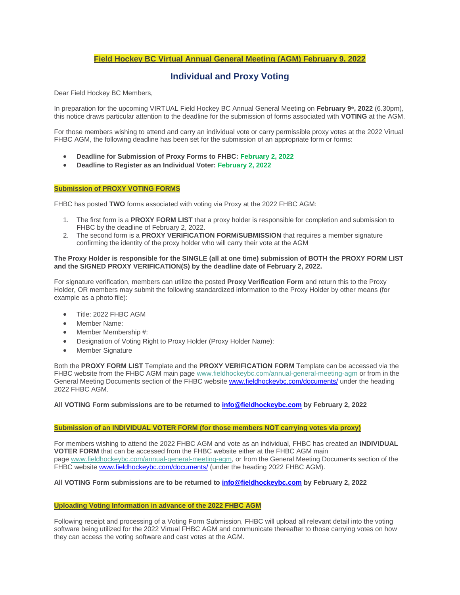# **Field Hockey BC Virtual Annual General Meeting (AGM) February 9, 2022**

# **Individual and Proxy Voting**

Dear Field Hockey BC Members,

In preparation for the upcoming VIRTUAL Field Hockey BC Annual General Meeting on **February 9th, 2022** (6.30pm), this notice draws particular attention to the deadline for the submission of forms associated with **VOTING** at the AGM.

For those members wishing to attend and carry an individual vote or carry permissible proxy votes at the 2022 Virtual FHBC AGM, the following deadline has been set for the submission of an appropriate form or forms:

- **Deadline for Submission of Proxy Forms to FHBC: February 2, 2022**
- **Deadline to Register as an Individual Voter: February 2, 2022**

# **Submission of PROXY VOTING FORMS**

FHBC has posted **TWO** forms associated with voting via Proxy at the 2022 FHBC AGM:

- 1. The first form is a **PROXY FORM LIST** that a proxy holder is responsible for completion and submission to FHBC by the deadline of February 2, 2022.
- 2. The second form is a **PROXY VERIFICATION FORM/SUBMISSION** that requires a member signature confirming the identity of the proxy holder who will carry their vote at the AGM

## **The Proxy Holder is responsible for the SINGLE (all at one time) submission of BOTH the PROXY FORM LIST and the SIGNED PROXY VERIFICATION(S) by the deadline date of February 2, 2022.**

For signature verification, members can utilize the posted **Proxy Verification Form** and return this to the Proxy Holder, OR members may submit the following standardized information to the Proxy Holder by other means (for example as a photo file):

- Title: 2022 FHBC AGM
- Member Name:
- Member Membership #:
- Designation of Voting Right to Proxy Holder (Proxy Holder Name):
- Member Signature

Both the **PROXY FORM LIST** Template and the **PROXY VERIFICATION FORM** Template can be accessed via the FHBC website from the FHBC AGM main page [www.fieldhockeybc.com/annual-general-meeting-agm](https://fieldhockeybc.com/annual-general-meeting-agm/) or from in the General Meeting Documents section of the FHBC website [www.fieldhockeybc.com/documents/](http://www.fieldhockeybc.com/documents/) under the heading 2022 FHBC AGM.

#### **All VOTING Form submissions are to be returned to [info@fieldhockeybc.com](mailto:info@fieldhockeybc.com) by February 2, 2022**

#### **Submission of an INDIVIDUAL VOTER FORM (for those members NOT carrying votes via proxy)**

For members wishing to attend the 2022 FHBC AGM and vote as an individual, FHBC has created an **INDIVIDUAL VOTER FORM** that can be accessed from the FHBC website either at the FHBC AGM main page [www.fieldhockeybc.com/annual-general-meeting-agm,](https://fieldhockeybc.com/annual-general-meeting-agm/) or from the General Meeting Documents section of the FHBC website [www.fieldhockeybc.com/documents/](http://www.fieldhockeybc.com/documents/) (under the heading 2022 FHBC AGM).

## **All VOTING Form submissions are to be returned to [info@fieldhockeybc.com](mailto:info@fieldhockeybc.com) by February 2, 2022**

#### **Uploading Voting Information in advance of the 2022 FHBC AGM**

Following receipt and processing of a Voting Form Submission, FHBC will upload all relevant detail into the voting software being utilized for the 2022 Virtual FHBC AGM and communicate thereafter to those carrying votes on how they can access the voting software and cast votes at the AGM.